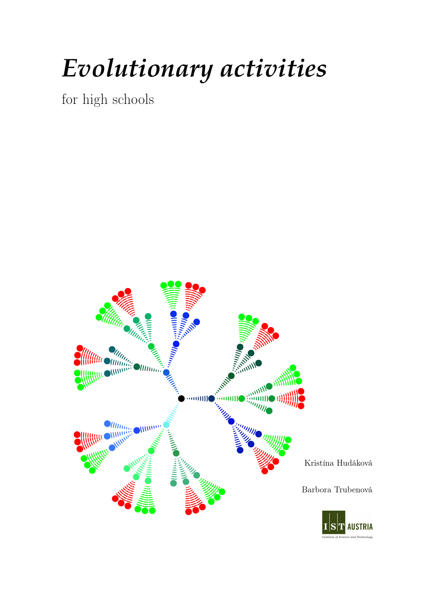## *Evolutionary activities*

for high schools

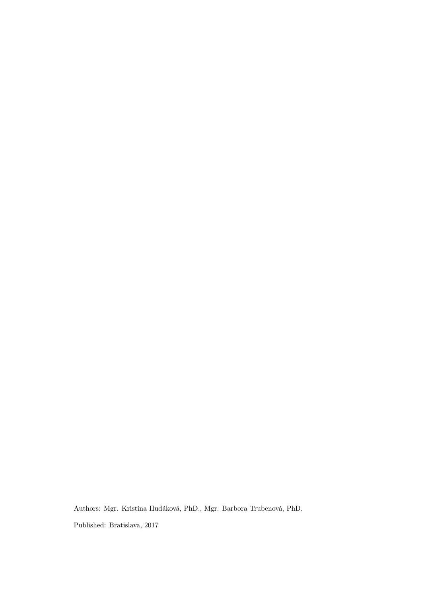Authors: Mgr. Kristína Hudáková, PhD., Mgr. Barbora Trubenová, PhD. Published: Bratislava, 2017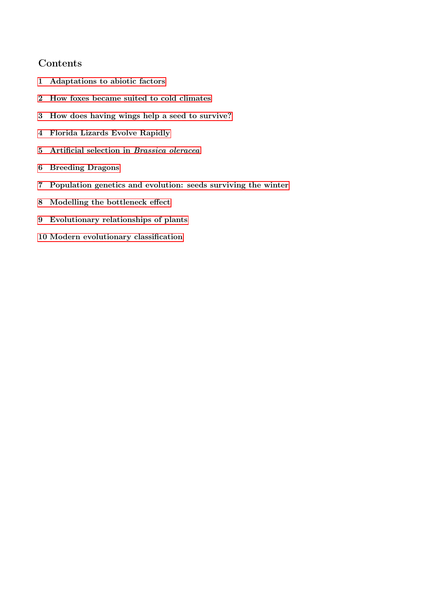## Contents

- 1 Adaptations to abiotic factors
- 2 How foxes became suited to cold climates
- 3 How does having wings help a seed to survive?
- 4 Florida Lizards Evolve Rapidly
- 5 Artificial selection in Brassica oleracea
- 6 Breeding Dragons
- 7 Population genetics and evolution: seeds surviving the winter
- 8 Modelling the bottleneck effect
- 9 Evolutionary relationships of plants
- 10 Modern evolutionary classification